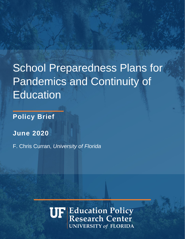# School Preparedness Plans for Pandemics and Continuity of **Education**

**Policy Brief**

**June 2020**

F. Chris Curran, *University of Florida*

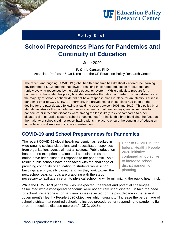# **UF Education Policy**<br>Research Center

### Policy Brief

# **School Preparedness Plans for Pandemics and Continuity of Education**

June 2020

**F. Chris Curran, PhD**

Associate Professor & Co-Director of the UF Education Policy Research Center

The recent and ongoing COVID-19 global health pandemic has drastically altered the learning environment of K-12 students nationwide, resulting in disrupted education for students and rapidly evolving responses by the public education system. While difficult to prepare for a pandemic of this scale, this policy brief demonstrates that about a quarter of school districts and the majority of schools nationwide did not have response plans in place for an infectious disease pandemic prior to COVID-19. Furthermore, the prevalence of these plans had been on the decline for the past decade following a rapid increase between 2008 and 2010. This policy brief also demonstrates that, of potential crises examined in national surveys, response plans for pandemics or infectious diseases were among the least likely to exist compared to other disasters (i.e. natural disasters, school shootings, etc.). Finally, this brief highlights the fact that the majority of schools did not report having plans in place to ensure the continuity of education in the face of a disruption to in-person instruction.

# **COVID-19 and School Preparedness for Pandemics**

The recent COVID-19 global health pandemic has resulted in wide-ranging societal disruptions and necessitated responses from organizations across almost all sectors. Public education has been no exception as almost all schools across the nation have been closed in response to the pandemic. As a result, public schools have been faced with the challenge of providing continuity of education to students while school buildings are physically closed, and, as they look toward the next school year, schools are grappling with the steps

Prior to COVID-19, the federal Healthy People 2020 initiative contained an objective to increase school district pandemic planning.

necessary to facilitate a return to physical schooling while minimizing the public health risk.

While the COVID-19 pandemic was unexpected, the threat and potential challenges associated with a widespread pandemic were not entirely unanticipated. In fact, the need for school preparedness for pandemics was reflected for the past decade in the federal government's Healthy People 2020 objectives which sought to "Increase the percentage of school districts that required schools to include procedures for responding to pandemic flu or other infectious disease outbreaks" (CDC, 2016).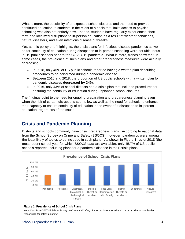What is more, the possibility of unexpected school closures and the need to provide continued education to students in the midst of a crisis that limits access to physical schooling was also not entirely new. Indeed, students have regularly experienced shortterm and localized disruptions to in-person education as a result of weather conditions, natural disasters, and even infectious disease outbreaks.

Yet, as this policy brief highlights, the crisis plans for infectious disease pandemics as well as for continuity of education during disruptions to in-person schooling were not ubiquitous in US public schools prior to the COVID-19 pandemic. What is more, trends show that, in some cases, the prevalence of such plans and other preparedness measures were actually decreasing.

- In 2018, only **46%** of US public schools reported having a written plan describing procedures to be performed during a pandemic disease.
- Between 2010 and 2018, the proportion of US public schools with a written plan for pandemic diseases **decreased by 34%**.
- In 2016, only **43%** of school districts had a crisis plan that included procedures for ensuring the continuity of education during unplanned school closures.

The findings point to the need for ongoing preparation and preparedness planning even when the risk of certain disruptions seems low as well as the need for schools to enhance their capacity to ensure continuity of education in the event of a disruption to in-person education, regardless of the cause.

## **Crisis and Pandemic Planning**

Districts and schools commonly have crisis preparedness plans. According to national data from the School Survey on Crime and Safety (SSOCS), however, pandemics were among the least likely of topics to be included in such plans. As shown in Figure 1, as of 2018 (the most recent school year for which SSOCS data are available), only 45.7% of US public schools reported including plans for a pandemic disease in their crisis plans.



#### **Figure 1. Prevalence of School Crisis Plans**

Note. Data from 2017-18 School Survey on Crime and Safety. Reported by school administrator or other school leader responsible for safety planning.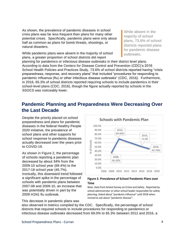As shown, the prevalence of pandemic diseases in school crisis plans was far less frequent than plans for many other potential crises. Specifically, pandemic plans were only about half as common as plans for bomb threats, shootings, or natural disasters.

While pandemic plans were absent in the majority of school plans, a greater proportion of school districts did report

While absent in the majority of school plans, 73.6% of school districts reported plans for pandemic disease outbreaks.

planning for pandemics or infectious disease outbreaks in their district level plans. According to data from the Centers for Disease Control and Prevention (CDC)'s 2016 School Health Policies and Practices Study, 73.6% of school districts reported having "crisis preparedness, response, and recovery plans" that included "procedures for responding to pandemic influenza (flu) or other infectious disease outbreaks" (CDC, 2016). Furthermore, in 2016, 65.3% of school districts reported requiring schools to include pandemics in their school-level plans (CDC, 2016), though the figure actually reported by schools in the SSOCS was noticeably lower.

# **Pandemic Planning and Preparedness Were Decreasing Over the Last Decade**

Despite the priority placed on school preparedness and plans for pandemic diseases in the federal Healthy People 2020 initiative, the prevalence of school plans and other supports for school response to pandemic diseases actually decreased over the years prior to COVID-19.

As shown in Figure 2, the percentage of schools reporting a pandemic plan decreased by about 34% from the 2009-10 school year (69.4%) to the 2017-18 school year (45.7%). Ironically, this downward trend followed a significant spike in the percentage of schools with pandemic plans between 2007-08 and 2009-10, an increase that was potentially driven in part by the 2009 H1N1 flu outbreak.

This decrease in pandemic plans was



#### **Figure 2. Prevalence of School Pandemic Plans over Time**

Note. Data from School Survey on Crime and Safety. Reported by school administrator or other school leader responsible for safety planning. Asked about "pandemic influenza" until 2018 when revised to ask about "pandemic disease".

also observed in metrics compiled by the CDC. Specifically, the percentage of school districts that required schools to include procedures for responding to pandemics or infectious disease outbreaks decreased from 69.0% to 65.3% between 2012 and 2016, a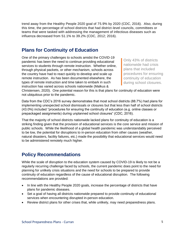trend away from the Healthy People 2020 goal of 75.9% by 2020 (CDC, 2016). Also, during this time, the percentage of school districts that had district-level councils, committees or teams that were tasked with addressing the management of infectious diseases such as influenza decreased from 51.1% to 39.2% (CDC, 2012; 2016).

# **Plans for Continuity of Education**

One of the primary challenges to schools amidst the COVID-19 pandemic has been the need to continue providing educational services to students through remote instruction. Whether online, through physical packets, or other mechanism, schools across the country have had to react quickly to develop and scale up remote instruction. As has been documented elsewhere, the types of remote instruction and time taken to embark in such instruction has varied across schools nationwide (Malkus &

Only 43% of districts nationwide had crisis plans that included procedures for ensuring continuity of education during school closures.

Christensen, 2020). One potential reason for this is that plans for continuity of education were not ubiquitous prior to the pandemic.

Data from the CDC's 2016 survey demonstrates that most school districts (88.7%) had plans for implementing unexpected school dismissals or closures but that less than half of school districts (43.0%) included "procedures for ensuring the continuity of education (e.g. online classes or prepackaged assignments) during unplanned school closures" (CDC, 2016).

That the majority of school districts nationwide lacked plans for continuity of education is a striking finding given that the provision of educational services is the core service and mission of public schools. While the likelihood of a global health pandemic was understandably perceived to be low, the potential for disruptions to in-person education from other causes (weather, natural disasters, facility failures, etc.) made the possibility that educational services would need to be administered remotely much higher.

# **Policy Recommendations**

While the scale of disruption to the education system caused by COVID-19 is likely to not be a regularly recurring challenge faced by schools, the current pandemic does point to the need for planning for unlikely crisis situations and the need for schools to be prepared to provide continuity of education regardless of the cause of educational disruption. The following recommendations are provided:

- In line with the Healthy People 2020 goals, increase the percentage of districts that have plans for pandemic diseases.
- Set a goal of having all districts nationwide prepared to provide continuity of educational services when encountering disrupted in-person education.
- Review district plans for other crises that, while unlikely, may need preparedness plans.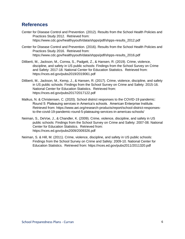## **References**

- Center for Disease Control and Prevention. (2012). Results from the School Health Policies and Practices Study 2012. Retrieved from: https://www.cdc.gov/healthyyouth/data/shpps/pdf/shpps-results\_2012.pdf
- Center for Disease Control and Prevention. (2016). Results from the School Health Policies and Practices Study 2016. Retrieved from: https://www.cdc.gov/healthyyouth/data/shpps/pdf/shpps-results\_2016.pdf
- Diliberti, M., Jackson, M., Correa, S., Padgett, Z., & Hansen, R. (2019). Crime, violence, discipline, and safety in US public schools: Findings from the School Survey on Crime and Safety: 2017-18. National Center for Education Statistics. Retrieved from: https://nces.ed.gov/pubs2019/2019061.pdf
- Diliberti, M., Jackson, M., Kemp, J., & Hansen, R. (2017). Crime, violence, discipline, and safety in US public schools: Findings from the School Survey on Crime and Safety: 2015-16. National Center for Education Statistics. Retrieved from: https://nces.ed.gov/pubs2017/2017122.pdf
- Malkus, N. & Christensen, C. (2020). School district responses to the COVID-19 pandemic: Round 5: Plateauing services in America's schools. American Enterprise Institute. Retrieved from: https://www.aei.org/research-products/report/school-district-responsesto-the-covid-19-pandemic-round-5-plateauing-services-in-americas-schools/
- Neiman, S., DeVoe, J., & Chandler, K. (2009). Crime, violence, discipline, and safety in US public schools: Findings from the School Survey on Crime and Safety: 2007-08. National Center for Education Statistics. Retrieved from: https://nces.ed.gov/pubs2009/2009326.pdf
- Neiman, S. & Hill, M. (2011). Crime, violence, discipline, and safety in US public schools: Findings from the School Survey on Crime and Safety: 2009-10. National Center for Education Statistics. Retrieved from: https://nces.ed.gov/pubs2011/2011320.pdf